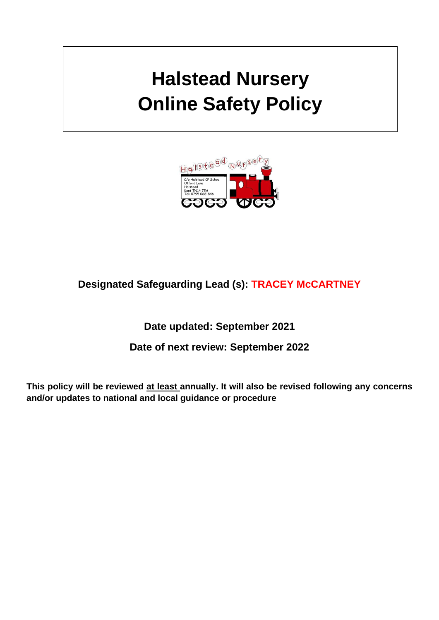# **Halstead Nursery Online Safety Policy**



# **Designated Safeguarding Lead (s): TRACEY McCARTNEY**

# **Date updated: September 2021**

# **Date of next review: September 2022**

**This policy will be reviewed at least annually. It will also be revised following any concerns and/or updates to national and local guidance or procedure**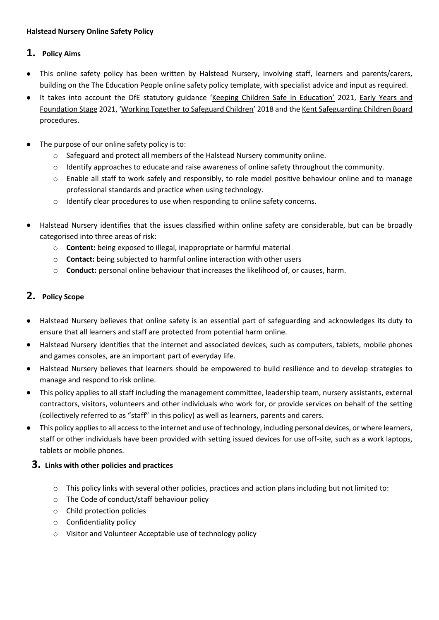#### **Halstead Nursery Online Safety Policy**

# **1. Policy Aims**

- This online safety policy has been written by Halstead Nursery, involving staff, learners and parents/carers, building on the The Education People online safety policy template, with specialist advice and input as required.
- It takes into account the DfE statutory guidance '[Keeping Children Safe in Education](https://www.gov.uk/government/publications/keeping-children-safe-in-education--2)' 2021, [Early Years and](https://www.gov.uk/government/publications/early-years-foundation-stage-framework--2)  [Foundation Stage](https://www.gov.uk/government/publications/early-years-foundation-stage-framework--2) 2021, '[Working Together to Safeguard Children](https://www.gov.uk/government/publications/working-together-to-safeguard-children--2)' 2018 and th[e Kent Safeguarding Children Board](http://www.kscb.org.uk/) procedures.
- The purpose of our online safety policy is to:
	- o Safeguard and protect all members of the Halstead Nursery community online.
	- o Identify approaches to educate and raise awareness of online safety throughout the community.
	- o Enable all staff to work safely and responsibly, to role model positive behaviour online and to manage professional standards and practice when using technology.
	- o Identify clear procedures to use when responding to online safety concerns.
- Halstead Nursery identifies that the issues classified within online safety are considerable, but can be broadly categorised into three areas of risk:
	- o **Content:** being exposed to illegal, inappropriate or harmful material
	- o **Contact:** being subjected to harmful online interaction with other users
	- o **Conduct:** personal online behaviour that increases the likelihood of, or causes, harm.

# **2. Policy Scope**

- Halstead Nursery believes that online safety is an essential part of safeguarding and acknowledges its duty to ensure that all learners and staff are protected from potential harm online.
- Halstead Nursery identifies that the internet and associated devices, such as computers, tablets, mobile phones and games consoles, are an important part of everyday life.
- Halstead Nursery believes that learners should be empowered to build resilience and to develop strategies to manage and respond to risk online.
- This policy applies to all staff including the management committee, leadership team, nursery assistants, external contractors, visitors, volunteers and other individuals who work for, or provide services on behalf of the setting (collectively referred to as "staff" in this policy) as well as learners, parents and carers.
- This policy applies to all access to the internet and use of technology, including personal devices, or where learners, staff or other individuals have been provided with setting issued devices for use off-site, such as a work laptops, tablets or mobile phones.

# **3. Links with other policies and practices**

- o This policy links with several other policies, practices and action plans including but not limited to:
- o The Code of conduct/staff behaviour policy
- o Child protection policies
- o Confidentiality policy
- o Visitor and Volunteer Acceptable use of technology policy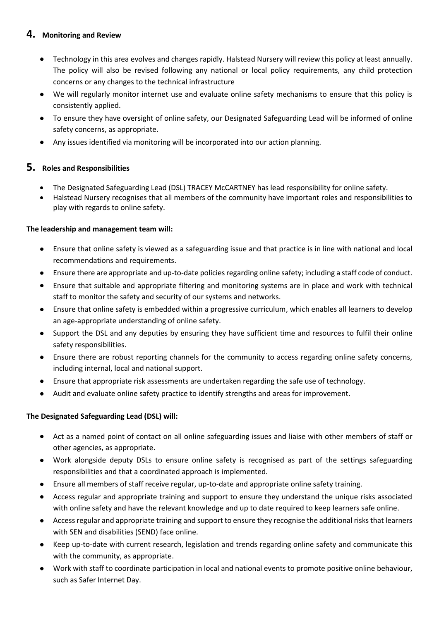# **4. Monitoring and Review**

- Technology in this area evolves and changes rapidly. Halstead Nursery will review this policy at least annually. The policy will also be revised following any national or local policy requirements, any child protection concerns or any changes to the technical infrastructure
- We will regularly monitor internet use and evaluate online safety mechanisms to ensure that this policy is consistently applied.
- To ensure they have oversight of online safety, our Designated Safeguarding Lead will be informed of online safety concerns, as appropriate.
- Any issues identified via monitoring will be incorporated into our action planning.

# **5. Roles and Responsibilities**

- The Designated Safeguarding Lead (DSL) TRACEY McCARTNEY has lead responsibility for online safety.
- Halstead Nursery recognises that all members of the community have important roles and responsibilities to play with regards to online safety.

#### **The leadership and management team will:**

- Ensure that online safety is viewed as a safeguarding issue and that practice is in line with national and local recommendations and requirements.
- Ensure there are appropriate and up-to-date policies regarding online safety; including a staff code of conduct.
- Ensure that suitable and appropriate filtering and monitoring systems are in place and work with technical staff to monitor the safety and security of our systems and networks.
- Ensure that online safety is embedded within a progressive curriculum, which enables all learners to develop an age-appropriate understanding of online safety.
- Support the DSL and any deputies by ensuring they have sufficient time and resources to fulfil their online safety responsibilities.
- Ensure there are robust reporting channels for the community to access regarding online safety concerns, including internal, local and national support.
- Ensure that appropriate risk assessments are undertaken regarding the safe use of technology.
- Audit and evaluate online safety practice to identify strengths and areas for improvement.

# **The Designated Safeguarding Lead (DSL) will:**

- Act as a named point of contact on all online safeguarding issues and liaise with other members of staff or other agencies, as appropriate.
- Work alongside deputy DSLs to ensure online safety is recognised as part of the settings safeguarding responsibilities and that a coordinated approach is implemented.
- Ensure all members of staff receive regular, up-to-date and appropriate online safety training.
- Access regular and appropriate training and support to ensure they understand the unique risks associated with online safety and have the relevant knowledge and up to date required to keep learners safe online.
- Access regular and appropriate training and support to ensure they recognise the additional risks that learners with SEN and disabilities (SEND) face online.
- Keep up-to-date with current research, legislation and trends regarding online safety and communicate this with the community, as appropriate.
- Work with staff to coordinate participation in local and national events to promote positive online behaviour, such as Safer Internet Day.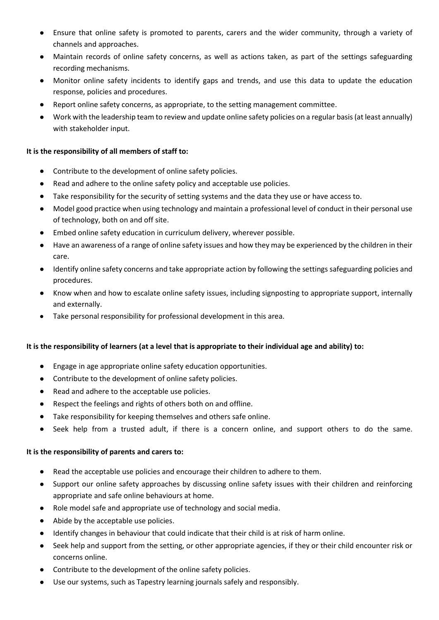- Ensure that online safety is promoted to parents, carers and the wider community, through a variety of channels and approaches.
- Maintain records of online safety concerns, as well as actions taken, as part of the settings safeguarding recording mechanisms.
- Monitor online safety incidents to identify gaps and trends, and use this data to update the education response, policies and procedures.
- Report online safety concerns, as appropriate, to the setting management committee.
- Work with the leadership team to review and update online safety policies on a regular basis (at least annually) with stakeholder input.

#### **It is the responsibility of all members of staff to:**

- Contribute to the development of online safety policies.
- Read and adhere to the online safety policy and acceptable use policies.
- Take responsibility for the security of setting systems and the data they use or have access to.
- Model good practice when using technology and maintain a professional level of conduct in their personal use of technology, both on and off site.
- Embed online safety education in curriculum delivery, wherever possible.
- Have an awareness of a range of online safety issues and how they may be experienced by the children in their care.
- Identify online safety concerns and take appropriate action by following the settings safeguarding policies and procedures.
- Know when and how to escalate online safety issues, including signposting to appropriate support, internally and externally.
- Take personal responsibility for professional development in this area.

#### **It is the responsibility of learners (at a level that is appropriate to their individual age and ability) to:**

- Engage in age appropriate online safety education opportunities.
- Contribute to the development of online safety policies.
- Read and adhere to the acceptable use policies.
- Respect the feelings and rights of others both on and offline.
- Take responsibility for keeping themselves and others safe online.
- Seek help from a trusted adult, if there is a concern online, and support others to do the same.

#### **It is the responsibility of parents and carers to:**

- Read the acceptable use policies and encourage their children to adhere to them.
- Support our online safety approaches by discussing online safety issues with their children and reinforcing appropriate and safe online behaviours at home.
- Role model safe and appropriate use of technology and social media.
- Abide by the acceptable use policies.
- Identify changes in behaviour that could indicate that their child is at risk of harm online.
- Seek help and support from the setting, or other appropriate agencies, if they or their child encounter risk or concerns online.
- Contribute to the development of the online safety policies.
- Use our systems, such as Tapestry learning journals safely and responsibly.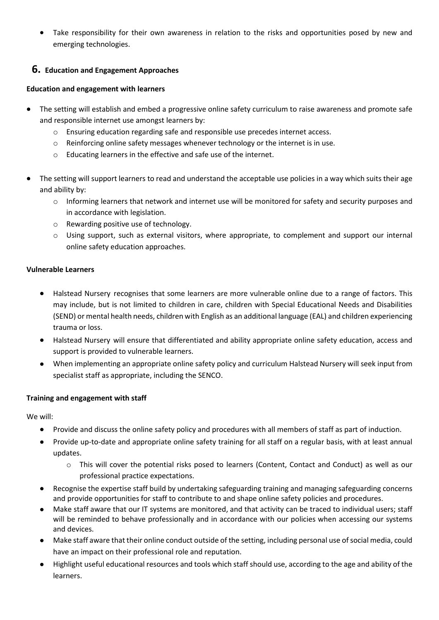• Take responsibility for their own awareness in relation to the risks and opportunities posed by new and emerging technologies.

# **6. Education and Engagement Approaches**

#### **Education and engagement with learners**

- The setting will establish and embed a progressive online safety curriculum to raise awareness and promote safe and responsible internet use amongst learners by:
	- o Ensuring education regarding safe and responsible use precedes internet access.
	- o Reinforcing online safety messages whenever technology or the internet is in use.
	- o Educating learners in the effective and safe use of the internet.
- The setting will support learners to read and understand the acceptable use policies in a way which suits their age and ability by:
	- o Informing learners that network and internet use will be monitored for safety and security purposes and in accordance with legislation.
	- o Rewarding positive use of technology.
	- o Using support, such as external visitors, where appropriate, to complement and support our internal online safety education approaches.

#### **Vulnerable Learners**

- Halstead Nursery recognises that some learners are more vulnerable online due to a range of factors. This may include, but is not limited to children in care, children with Special Educational Needs and Disabilities (SEND) or mental health needs, children with English as an additional language (EAL) and children experiencing trauma or loss.
- Halstead Nursery will ensure that differentiated and ability appropriate online safety education, access and support is provided to vulnerable learners.
- When implementing an appropriate online safety policy and curriculum Halstead Nursery will seek input from specialist staff as appropriate, including the SENCO.

# **Training and engagement with staff**

We will:

- Provide and discuss the online safety policy and procedures with all members of staff as part of induction.
- Provide up-to-date and appropriate online safety training for all staff on a regular basis, with at least annual updates.
	- o This will cover the potential risks posed to learners (Content, Contact and Conduct) as well as our professional practice expectations.
- Recognise the expertise staff build by undertaking safeguarding training and managing safeguarding concerns and provide opportunities for staff to contribute to and shape online safety policies and procedures.
- Make staff aware that our IT systems are monitored, and that activity can be traced to individual users; staff will be reminded to behave professionally and in accordance with our policies when accessing our systems and devices.
- Make staff aware that their online conduct outside of the setting, including personal use of social media, could have an impact on their professional role and reputation.
- Highlight useful educational resources and tools which staff should use, according to the age and ability of the learners.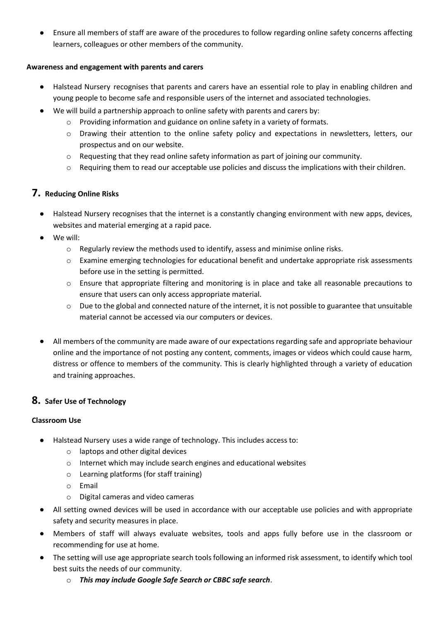• Ensure all members of staff are aware of the procedures to follow regarding online safety concerns affecting learners, colleagues or other members of the community.

#### **Awareness and engagement with parents and carers**

- Halstead Nursery recognises that parents and carers have an essential role to play in enabling children and young people to become safe and responsible users of the internet and associated technologies.
- We will build a partnership approach to online safety with parents and carers by:
	- o Providing information and guidance on online safety in a variety of formats.
	- o Drawing their attention to the online safety policy and expectations in newsletters, letters, our prospectus and on our website.
	- o Requesting that they read online safety information as part of joining our community.
	- o Requiring them to read our acceptable use policies and discuss the implications with their children.

# **7. Reducing Online Risks**

- Halstead Nursery recognises that the internet is a constantly changing environment with new apps, devices, websites and material emerging at a rapid pace.
- We will:
	- o Regularly review the methods used to identify, assess and minimise online risks.
	- $\circ$  Examine emerging technologies for educational benefit and undertake appropriate risk assessments before use in the setting is permitted.
	- o Ensure that appropriate filtering and monitoring is in place and take all reasonable precautions to ensure that users can only access appropriate material.
	- o Due to the global and connected nature of the internet, it is not possible to guarantee that unsuitable material cannot be accessed via our computers or devices.
- All members of the community are made aware of our expectations regarding safe and appropriate behaviour online and the importance of not posting any content, comments, images or videos which could cause harm, distress or offence to members of the community. This is clearly highlighted through a variety of education and training approaches.

# **8. Safer Use of Technology**

# **Classroom Use**

- Halstead Nursery uses a wide range of technology. This includes access to:
	- o laptops and other digital devices
	- o Internet which may include search engines and educational websites
	- o Learning platforms (for staff training)
	- o Email
	- o Digital cameras and video cameras
- All setting owned devices will be used in accordance with our acceptable use policies and with appropriate safety and security measures in place.
- Members of staff will always evaluate websites, tools and apps fully before use in the classroom or recommending for use at home.
- The setting will use age appropriate search tools following an informed risk assessment, to identify which tool best suits the needs of our community.
	- o *This may include Google Safe Search or CBBC safe search*.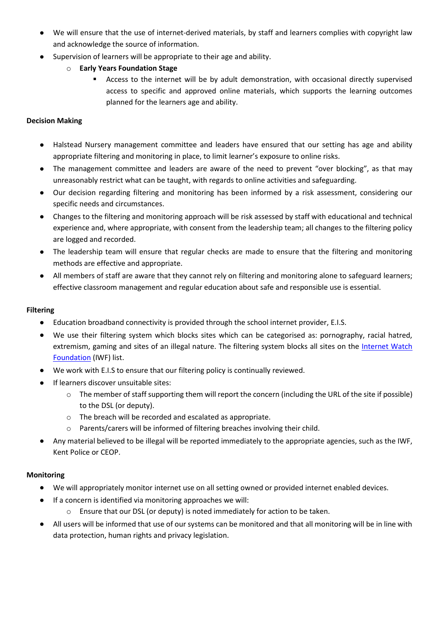- We will ensure that the use of internet-derived materials, by staff and learners complies with copyright law and acknowledge the source of information.
- Supervision of learners will be appropriate to their age and ability.
	- o **Early Years Foundation Stage**
		- Access to the internet will be by adult demonstration, with occasional directly supervised access to specific and approved online materials, which supports the learning outcomes planned for the learners age and ability.

#### **Decision Making**

- Halstead Nursery management committee and leaders have ensured that our setting has age and ability appropriate filtering and monitoring in place, to limit learner's exposure to online risks.
- The management committee and leaders are aware of the need to prevent "over blocking", as that may unreasonably restrict what can be taught, with regards to online activities and safeguarding.
- Our decision regarding filtering and monitoring has been informed by a risk assessment, considering our specific needs and circumstances.
- Changes to the filtering and monitoring approach will be risk assessed by staff with educational and technical experience and, where appropriate, with consent from the leadership team; all changes to the filtering policy are logged and recorded.
- The leadership team will ensure that regular checks are made to ensure that the filtering and monitoring methods are effective and appropriate.
- All members of staff are aware that they cannot rely on filtering and monitoring alone to safeguard learners; effective classroom management and regular education about safe and responsible use is essential.

#### **Filtering**

- Education broadband connectivity is provided through the school internet provider, E.I.S.
- We use their filtering system which blocks sites which can be categorised as: pornography, racial hatred, extremism, gaming and sites of an illegal nature. The filtering system blocks all sites on the [Internet Watch](https://www.iwf.org.uk/)  [Foundation](https://www.iwf.org.uk/) (IWF) list.
- We work with E.I.S to ensure that our filtering policy is continually reviewed.
- If learners discover unsuitable sites:
	- o The member of staff supporting them will report the concern (including the URL of the site if possible) to the DSL (or deputy).
	- o The breach will be recorded and escalated as appropriate.
	- o Parents/carers will be informed of filtering breaches involving their child.
- Any material believed to be illegal will be reported immediately to the appropriate agencies, such as the IWF, Kent Police or CEOP.

# **Monitoring**

- We will appropriately monitor internet use on all setting owned or provided internet enabled devices.
- If a concern is identified via monitoring approaches we will:
	- o Ensure that our DSL (or deputy) is noted immediately for action to be taken.
- All users will be informed that use of our systems can be monitored and that all monitoring will be in line with data protection, human rights and privacy legislation.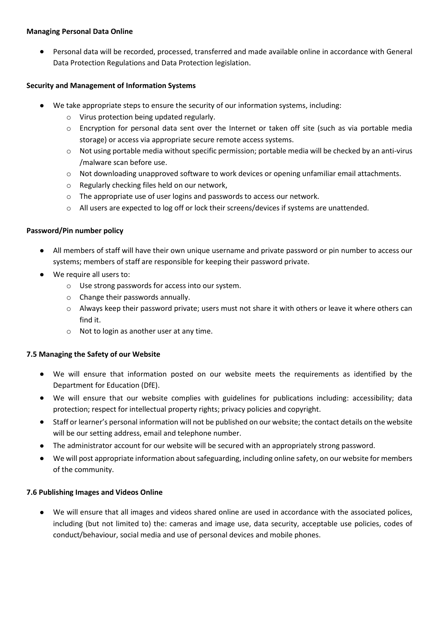#### **Managing Personal Data Online**

• Personal data will be recorded, processed, transferred and made available online in accordance with General Data Protection Regulations and Data Protection legislation.

#### **Security and Management of Information Systems**

- We take appropriate steps to ensure the security of our information systems, including:
	- o Virus protection being updated regularly.
	- o Encryption for personal data sent over the Internet or taken off site (such as via portable media storage) or access via appropriate secure remote access systems.
	- $\circ$  Not using portable media without specific permission; portable media will be checked by an anti-virus /malware scan before use.
	- o Not downloading unapproved software to work devices or opening unfamiliar email attachments.
	- o Regularly checking files held on our network,
	- o The appropriate use of user logins and passwords to access our network.
	- o All users are expected to log off or lock their screens/devices if systems are unattended.

#### **Password/Pin number policy**

- All members of staff will have their own unique username and private password or pin number to access our systems; members of staff are responsible for keeping their password private.
- We require all users to:
	- o Use strong passwords for access into our system.
	- o Change their passwords annually.
	- o Always keep their password private; users must not share it with others or leave it where others can find it.
	- o Not to login as another user at any time.

#### **7.5 Managing the Safety of our Website**

- We will ensure that information posted on our website meets the requirements as identified by the Department for Education (DfE).
- We will ensure that our website complies with guidelines for publications including: accessibility; data protection; respect for intellectual property rights; privacy policies and copyright.
- Staff or learner's personal information will not be published on our website; the contact details on the website will be our setting address, email and telephone number.
- The administrator account for our website will be secured with an appropriately strong password.
- We will post appropriate information about safeguarding, including online safety, on our website for members of the community.

#### **7.6 Publishing Images and Videos Online**

• We will ensure that all images and videos shared online are used in accordance with the associated polices, including (but not limited to) the: cameras and image use, data security, acceptable use policies, codes of conduct/behaviour, social media and use of personal devices and mobile phones.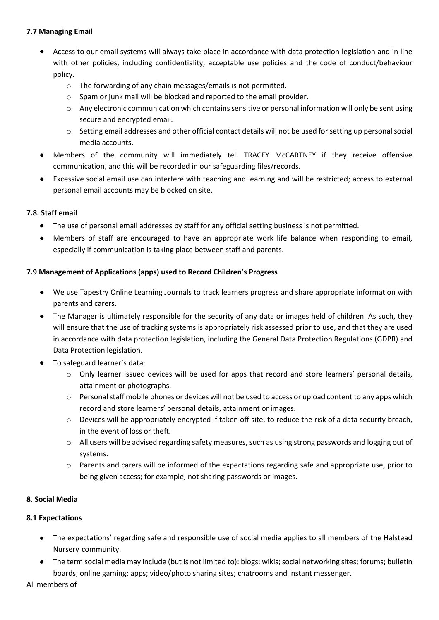#### **7.7 Managing Email**

- Access to our email systems will always take place in accordance with data protection legislation and in line with other policies, including confidentiality, acceptable use policies and the code of conduct/behaviour policy.
	- o The forwarding of any chain messages/emails is not permitted.
	- o Spam or junk mail will be blocked and reported to the email provider.
	- $\circ$  Any electronic communication which contains sensitive or personal information will only be sent using secure and encrypted email.
	- o Setting email addresses and other official contact details will not be used for setting up personal social media accounts.
- Members of the community will immediately tell TRACEY McCARTNEY if they receive offensive communication, and this will be recorded in our safeguarding files/records.
- Excessive social email use can interfere with teaching and learning and will be restricted; access to external personal email accounts may be blocked on site.

#### **7.8. Staff email**

- The use of personal email addresses by staff for any official setting business is not permitted.
- Members of staff are encouraged to have an appropriate work life balance when responding to email, especially if communication is taking place between staff and parents.

#### **7.9 Management of Applications (apps) used to Record Children's Progress**

- We use Tapestry Online Learning Journals to track learners progress and share appropriate information with parents and carers.
- The Manager is ultimately responsible for the security of any data or images held of children. As such, they will ensure that the use of tracking systems is appropriately risk assessed prior to use, and that they are used in accordance with data protection legislation, including the General Data Protection Regulations (GDPR) and Data Protection legislation.
- To safeguard learner's data:
	- $\circ$  Only learner issued devices will be used for apps that record and store learners' personal details, attainment or photographs.
	- o Personal staff mobile phones or devices will not be used to access or upload content to any apps which record and store learners' personal details, attainment or images.
	- o Devices will be appropriately encrypted if taken off site, to reduce the risk of a data security breach, in the event of loss or theft.
	- o All users will be advised regarding safety measures, such as using strong passwords and logging out of systems.
	- $\circ$  Parents and carers will be informed of the expectations regarding safe and appropriate use, prior to being given access; for example, not sharing passwords or images.

#### **8. Social Media**

#### **8.1 Expectations**

- The expectations' regarding safe and responsible use of social media applies to all members of the Halstead Nursery community.
- The term social media may include (but is not limited to): blogs; wikis; social networking sites; forums; bulletin boards; online gaming; apps; video/photo sharing sites; chatrooms and instant messenger.

All members of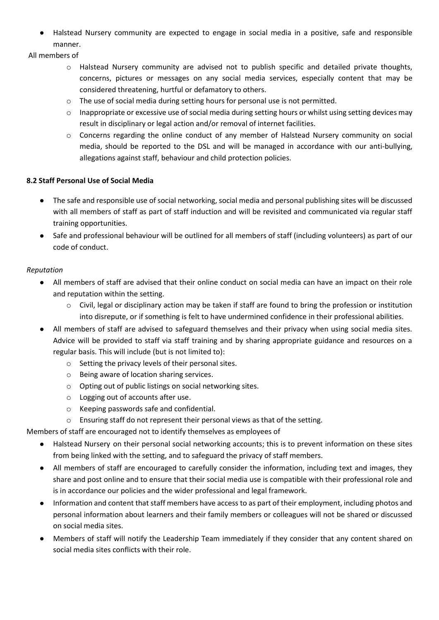• Halstead Nursery community are expected to engage in social media in a positive, safe and responsible manner.

All members of

- o Halstead Nursery community are advised not to publish specific and detailed private thoughts, concerns, pictures or messages on any social media services, especially content that may be considered threatening, hurtful or defamatory to others.
- o The use of social media during setting hours for personal use is not permitted.
- $\circ$  Inappropriate or excessive use of social media during setting hours or whilst using setting devices may result in disciplinary or legal action and/or removal of internet facilities.
- o Concerns regarding the online conduct of any member of Halstead Nursery community on social media, should be reported to the DSL and will be managed in accordance with our anti-bullying, allegations against staff, behaviour and child protection policies.

#### **8.2 Staff Personal Use of Social Media**

- The safe and responsible use of social networking, social media and personal publishing sites will be discussed with all members of staff as part of staff induction and will be revisited and communicated via regular staff training opportunities.
- Safe and professional behaviour will be outlined for all members of staff (including volunteers) as part of our code of conduct.

#### *Reputation*

- All members of staff are advised that their online conduct on social media can have an impact on their role and reputation within the setting.
	- $\circ$  Civil, legal or disciplinary action may be taken if staff are found to bring the profession or institution into disrepute, or if something is felt to have undermined confidence in their professional abilities.
- All members of staff are advised to safeguard themselves and their privacy when using social media sites. Advice will be provided to staff via staff training and by sharing appropriate guidance and resources on a regular basis. This will include (but is not limited to):
	- o Setting the privacy levels of their personal sites.
	- o Being aware of location sharing services.
	- o Opting out of public listings on social networking sites.
	- o Logging out of accounts after use.
	- o Keeping passwords safe and confidential.
	- o Ensuring staff do not represent their personal views as that of the setting.

Members of staff are encouraged not to identify themselves as employees of

- Halstead Nursery on their personal social networking accounts; this is to prevent information on these sites from being linked with the setting, and to safeguard the privacy of staff members.
- All members of staff are encouraged to carefully consider the information, including text and images, they share and post online and to ensure that their social media use is compatible with their professional role and is in accordance our policies and the wider professional and legal framework.
- Information and content that staff members have access to as part of their employment, including photos and personal information about learners and their family members or colleagues will not be shared or discussed on social media sites.
- Members of staff will notify the Leadership Team immediately if they consider that any content shared on social media sites conflicts with their role.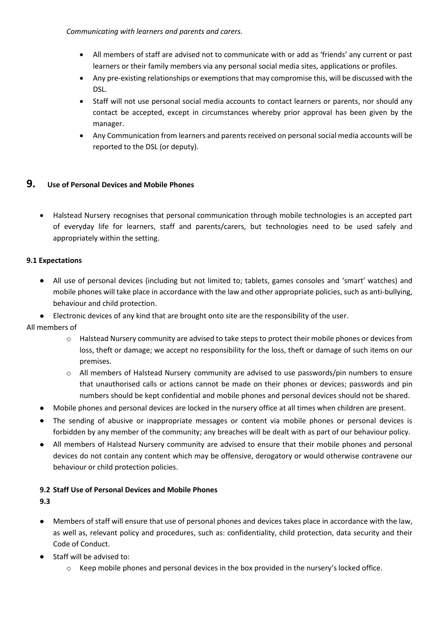*Communicating with learners and parents and carers.*

- All members of staff are advised not to communicate with or add as 'friends' any current or past learners or their family members via any personal social media sites, applications or profiles.
- Any pre-existing relationships or exemptions that may compromise this, will be discussed with the DSL.
- Staff will not use personal social media accounts to contact learners or parents, nor should any contact be accepted, except in circumstances whereby prior approval has been given by the manager.
- Any Communication from learners and parents received on personal social media accounts will be reported to the DSL (or deputy).

### **9. Use of Personal Devices and Mobile Phones**

• Halstead Nursery recognises that personal communication through mobile technologies is an accepted part of everyday life for learners, staff and parents/carers, but technologies need to be used safely and appropriately within the setting.

#### **9.1 Expectations**

- All use of personal devices (including but not limited to; tablets, games consoles and 'smart' watches) and mobile phones will take place in accordance with the law and other appropriate policies, such as anti-bullying, behaviour and child protection.
- Electronic devices of any kind that are brought onto site are the responsibility of the user.

All members of

- $\circ$  Halstead Nursery community are advised to take steps to protect their mobile phones or devices from loss, theft or damage; we accept no responsibility for the loss, theft or damage of such items on our premises.
- o All members of Halstead Nursery community are advised to use passwords/pin numbers to ensure that unauthorised calls or actions cannot be made on their phones or devices; passwords and pin numbers should be kept confidential and mobile phones and personal devices should not be shared.
- Mobile phones and personal devices are locked in the nursery office at all times when children are present.
- The sending of abusive or inappropriate messages or content via mobile phones or personal devices is forbidden by any member of the community; any breaches will be dealt with as part of our behaviour policy.
- All members of Halstead Nursery community are advised to ensure that their mobile phones and personal devices do not contain any content which may be offensive, derogatory or would otherwise contravene our behaviour or child protection policies.

#### **9.2 Staff Use of Personal Devices and Mobile Phones**

**9.3**

- Members of staff will ensure that use of personal phones and devices takes place in accordance with the law, as well as, relevant policy and procedures, such as: confidentiality, child protection, data security and their Code of Conduct.
- Staff will be advised to:
	- o Keep mobile phones and personal devices in the box provided in the nursery's locked office.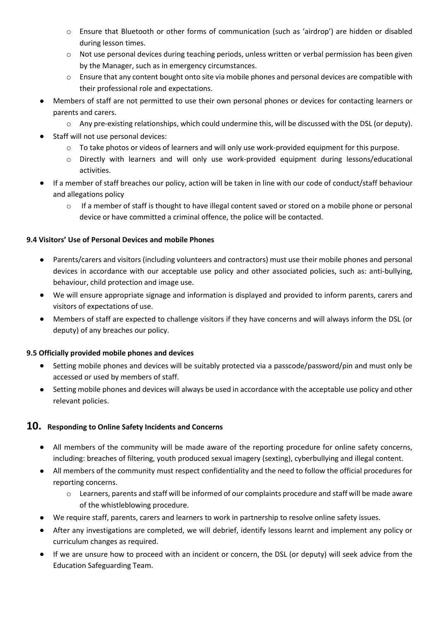- o Ensure that Bluetooth or other forms of communication (such as 'airdrop') are hidden or disabled during lesson times.
- o Not use personal devices during teaching periods, unless written or verbal permission has been given by the Manager, such as in emergency circumstances.
- $\circ$  Ensure that any content bought onto site via mobile phones and personal devices are compatible with their professional role and expectations.
- Members of staff are not permitted to use their own personal phones or devices for contacting learners or parents and carers.
	- $\circ$  Any pre-existing relationships, which could undermine this, will be discussed with the DSL (or deputy).
- Staff will not use personal devices:
	- o To take photos or videos of learners and will only use work-provided equipment for this purpose.
	- o Directly with learners and will only use work-provided equipment during lessons/educational activities.
- If a member of staff breaches our policy, action will be taken in line with our code of conduct/staff behaviour and allegations policy
	- o If a member of staff is thought to have illegal content saved or stored on a mobile phone or personal device or have committed a criminal offence, the police will be contacted.

#### **9.4 Visitors' Use of Personal Devices and mobile Phones**

- Parents/carers and visitors (including volunteers and contractors) must use their mobile phones and personal devices in accordance with our acceptable use policy and other associated policies, such as: anti-bullying, behaviour, child protection and image use.
- We will ensure appropriate signage and information is displayed and provided to inform parents, carers and visitors of expectations of use.
- Members of staff are expected to challenge visitors if they have concerns and will always inform the DSL (or deputy) of any breaches our policy.

#### **9.5 Officially provided mobile phones and devices**

- Setting mobile phones and devices will be suitably protected via a passcode/password/pin and must only be accessed or used by members of staff.
- Setting mobile phones and devices will always be used in accordance with the acceptable use policy and other relevant policies.

# **10. Responding to Online Safety Incidents and Concerns**

- All members of the community will be made aware of the reporting procedure for online safety concerns, including: breaches of filtering, youth produced sexual imagery (sexting), cyberbullying and illegal content.
- All members of the community must respect confidentiality and the need to follow the official procedures for reporting concerns.
	- o Learners, parents and staff will be informed of our complaints procedure and staff will be made aware of the whistleblowing procedure.
- We require staff, parents, carers and learners to work in partnership to resolve online safety issues.
- After any investigations are completed, we will debrief, identify lessons learnt and implement any policy or curriculum changes as required.
- If we are unsure how to proceed with an incident or concern, the DSL (or deputy) will seek advice from the Education Safeguarding Team.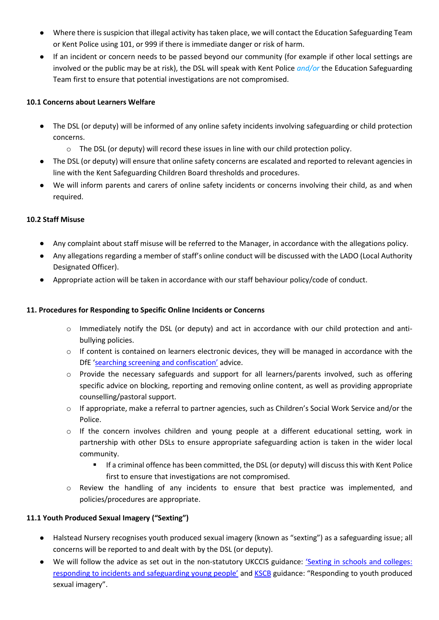- Where there is suspicion that illegal activity has taken place, we will contact the Education Safeguarding Team or Kent Police using 101, or 999 if there is immediate danger or risk of harm.
- If an incident or concern needs to be passed beyond our community (for example if other local settings are involved or the public may be at risk), the DSL will speak with Kent Police *and/or* the Education Safeguarding Team first to ensure that potential investigations are not compromised.

#### **10.1 Concerns about Learners Welfare**

- The DSL (or deputy) will be informed of any online safety incidents involving safeguarding or child protection concerns.
	- $\circ$  The DSL (or deputy) will record these issues in line with our child protection policy.
- The DSL (or deputy) will ensure that online safety concerns are escalated and reported to relevant agencies in line with the Kent Safeguarding Children Board thresholds and procedures.
- We will inform parents and carers of online safety incidents or concerns involving their child, as and when required.

#### **10.2 Staff Misuse**

- Any complaint about staff misuse will be referred to the Manager, in accordance with the allegations policy.
- Any allegations regarding a member of staff's online conduct will be discussed with the LADO (Local Authority Designated Officer).
- Appropriate action will be taken in accordance with our staff behaviour policy/code of conduct.

#### **11. Procedures for Responding to Specific Online Incidents or Concerns**

- o Immediately notify the DSL (or deputy) and act in accordance with our child protection and antibullying policies.
- $\circ$  If content is contained on learners electronic devices, they will be managed in accordance with the DfE '[searching screening and confiscation](https://www.gov.uk/government/publications/searching-screening-and-confiscation)' advice.
- $\circ$  Provide the necessary safeguards and support for all learners/parents involved, such as offering specific advice on blocking, reporting and removing online content, as well as providing appropriate counselling/pastoral support.
- $\circ$  If appropriate, make a referral to partner agencies, such as Children's Social Work Service and/or the Police.
- $\circ$  If the concern involves children and young people at a different educational setting, work in partnership with other DSLs to ensure appropriate safeguarding action is taken in the wider local community.
	- If a criminal offence has been committed, the DSL (or deputy) will discuss this with Kent Police first to ensure that investigations are not compromised.
- $\circ$  Review the handling of any incidents to ensure that best practice was implemented, and policies/procedures are appropriate.

#### **11.1 Youth Produced Sexual Imagery ("Sexting")**

- Halstead Nursery recognises youth produced sexual imagery (known as "sexting") as a safeguarding issue; all concerns will be reported to and dealt with by the DSL (or deputy).
- We will follow the advice as set out in the non-statutory UKCCIS guidance: '[Sexting in schools and colleges:](https://www.gov.uk/government/groups/uk-council-for-child-internet-safety-ukccis)  [responding to incidents and safeguarding young people'](https://www.gov.uk/government/groups/uk-council-for-child-internet-safety-ukccis) and [KSCB](http://www.kscb.org.uk/guidance/online-safety) guidance: "Responding to youth produced sexual imagery".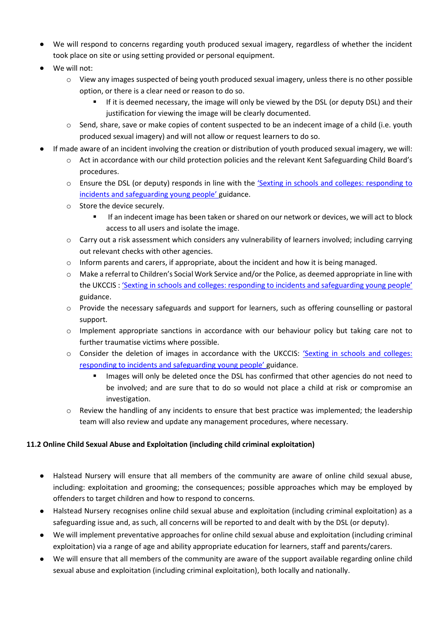- We will respond to concerns regarding youth produced sexual imagery, regardless of whether the incident took place on site or using setting provided or personal equipment.
- We will not:
	- o View any images suspected of being youth produced sexual imagery, unless there is no other possible option, or there is a clear need or reason to do so.
		- If it is deemed necessary, the image will only be viewed by the DSL (or deputy DSL) and their justification for viewing the image will be clearly documented.
	- $\circ$  Send, share, save or make copies of content suspected to be an indecent image of a child (i.e. youth produced sexual imagery) and will not allow or request learners to do so.
- If made aware of an incident involving the creation or distribution of youth produced sexual imagery, we will:
	- o Act in accordance with our child protection policies and the relevant Kent Safeguarding Child Board's procedures.
	- o Ensure the DSL (or deputy) responds in line with the '[Sexting in schools and colleges: responding to](https://www.gov.uk/government/groups/uk-council-for-child-internet-safety-ukccis)  [incidents and safeguarding young people'](https://www.gov.uk/government/groups/uk-council-for-child-internet-safety-ukccis) guidance.
	- o Store the device securely.
		- **■** If an indecent image has been taken or shared on our network or devices, we will act to block access to all users and isolate the image.
	- o Carry out a risk assessment which considers any vulnerability of learners involved; including carrying out relevant checks with other agencies.
	- $\circ$  Inform parents and carers, if appropriate, about the incident and how it is being managed.
	- o Make a referral to Children's Social Work Service and/or the Police, as deemed appropriate in line with the UKCCIS : ['Sexting in schools and colleges: responding to incidents and safeguarding young people'](https://www.gov.uk/government/groups/uk-council-for-child-internet-safety-ukccis) guidance.
	- o Provide the necessary safeguards and support for learners, such as offering counselling or pastoral support.
	- $\circ$  Implement appropriate sanctions in accordance with our behaviour policy but taking care not to further traumatise victims where possible.
	- o Consider the deletion of images in accordance with the UKCCIS: '[Sexting in schools and colleges:](https://www.gov.uk/government/groups/uk-council-for-child-internet-safety-ukccis)  [responding to incidents and safeguarding young people'](https://www.gov.uk/government/groups/uk-council-for-child-internet-safety-ukccis) guidance.
		- Images will only be deleted once the DSL has confirmed that other agencies do not need to be involved; and are sure that to do so would not place a child at risk or compromise an investigation.
	- $\circ$  Review the handling of any incidents to ensure that best practice was implemented; the leadership team will also review and update any management procedures, where necessary.

#### **11.2 Online Child Sexual Abuse and Exploitation (including child criminal exploitation)**

- Halstead Nursery will ensure that all members of the community are aware of online child sexual abuse, including: exploitation and grooming; the consequences; possible approaches which may be employed by offenders to target children and how to respond to concerns.
- Halstead Nursery recognises online child sexual abuse and exploitation (including criminal exploitation) as a safeguarding issue and, as such, all concerns will be reported to and dealt with by the DSL (or deputy).
- We will implement preventative approaches for online child sexual abuse and exploitation (including criminal exploitation) via a range of age and ability appropriate education for learners, staff and parents/carers.
- We will ensure that all members of the community are aware of the support available regarding online child sexual abuse and exploitation (including criminal exploitation), both locally and nationally.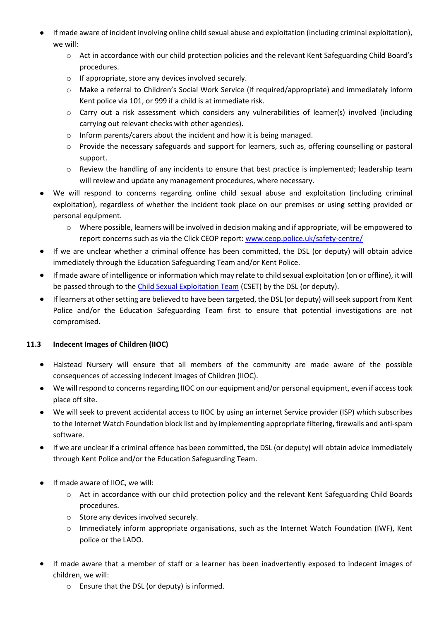- If made aware of incident involving online child sexual abuse and exploitation (including criminal exploitation), we will:
	- o Act in accordance with our child protection policies and the relevant Kent Safeguarding Child Board's procedures.
	- o If appropriate, store any devices involved securely.
	- o Make a referral to Children's Social Work Service (if required/appropriate) and immediately inform Kent police via 101, or 999 if a child is at immediate risk.
	- $\circ$  Carry out a risk assessment which considers any vulnerabilities of learner(s) involved (including carrying out relevant checks with other agencies).
	- o Inform parents/carers about the incident and how it is being managed.
	- o Provide the necessary safeguards and support for learners, such as, offering counselling or pastoral support.
	- $\circ$  Review the handling of any incidents to ensure that best practice is implemented; leadership team will review and update any management procedures, where necessary.
- We will respond to concerns regarding online child sexual abuse and exploitation (including criminal exploitation), regardless of whether the incident took place on our premises or using setting provided or personal equipment.
	- o Where possible, learners will be involved in decision making and if appropriate, will be empowered to report concerns such as via the Click CEOP report: [www.ceop.police.uk/safety-centre/](http://www.ceop.police.uk/safety-centre/)
- If we are unclear whether a criminal offence has been committed, the DSL (or deputy) will obtain advice immediately through the Education Safeguarding Team and/or Kent Police.
- If made aware of intelligence or information which may relate to child sexual exploitation (on or offline), it will be passed through to the [Child Sexual Exploitation Team](https://www.kent.police.uk/childabuse/) (CSET) by the DSL (or deputy).
- If learners at other setting are believed to have been targeted, the DSL (or deputy) will seek support from Kent Police and/or the Education Safeguarding Team first to ensure that potential investigations are not compromised.

# **11.3 Indecent Images of Children (IIOC)**

- Halstead Nursery will ensure that all members of the community are made aware of the possible consequences of accessing Indecent Images of Children (IIOC).
- We will respond to concerns regarding IIOC on our equipment and/or personal equipment, even if access took place off site.
- We will seek to prevent accidental access to IIOC by using an internet Service provider (ISP) which subscribes to the Internet Watch Foundation block list and by implementing appropriate filtering, firewalls and anti-spam software.
- If we are unclear if a criminal offence has been committed, the DSL (or deputy) will obtain advice immediately through Kent Police and/or the Education Safeguarding Team.
- If made aware of IIOC, we will:
	- o Act in accordance with our child protection policy and the relevant Kent Safeguarding Child Boards procedures.
	- o Store any devices involved securely.
	- $\circ$  Immediately inform appropriate organisations, such as the Internet Watch Foundation (IWF), Kent police or the LADO.
- If made aware that a member of staff or a learner has been inadvertently exposed to indecent images of children, we will:
	- o Ensure that the DSL (or deputy) is informed.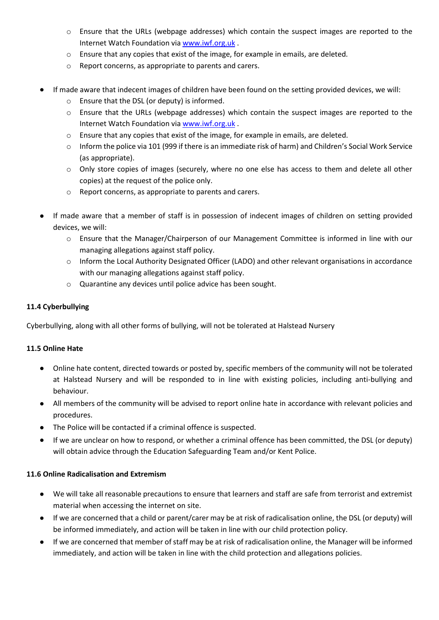- o Ensure that the URLs (webpage addresses) which contain the suspect images are reported to the Internet Watch Foundation vi[a www.iwf.org.uk](https://www.iwf.org.uk/) .
- $\circ$  Ensure that any copies that exist of the image, for example in emails, are deleted.
- o Report concerns, as appropriate to parents and carers.
- If made aware that indecent images of children have been found on the setting provided devices, we will:
	- o Ensure that the DSL (or deputy) is informed.
	- $\circ$  Ensure that the URLs (webpage addresses) which contain the suspect images are reported to the Internet Watch Foundation vi[a www.iwf.org.uk](https://www.iwf.org.uk/) .
	- $\circ$  Ensure that any copies that exist of the image, for example in emails, are deleted.
	- o Inform the police via 101 (999 if there is an immediate risk of harm) and Children's Social Work Service (as appropriate).
	- o Only store copies of images (securely, where no one else has access to them and delete all other copies) at the request of the police only.
	- o Report concerns, as appropriate to parents and carers.
- If made aware that a member of staff is in possession of indecent images of children on setting provided devices, we will:
	- o Ensure that the Manager/Chairperson of our Management Committee is informed in line with our managing allegations against staff policy.
	- o Inform the Local Authority Designated Officer (LADO) and other relevant organisations in accordance with our managing allegations against staff policy.
	- o Quarantine any devices until police advice has been sought.

#### **11.4 Cyberbullying**

Cyberbullying, along with all other forms of bullying, will not be tolerated at Halstead Nursery

#### **11.5 Online Hate**

- Online hate content, directed towards or posted by, specific members of the community will not be tolerated at Halstead Nursery and will be responded to in line with existing policies, including anti-bullying and behaviour.
- All members of the community will be advised to report online hate in accordance with relevant policies and procedures.
- The Police will be contacted if a criminal offence is suspected.
- If we are unclear on how to respond, or whether a criminal offence has been committed, the DSL (or deputy) will obtain advice through the Education Safeguarding Team and/or Kent Police.

#### **11.6 Online Radicalisation and Extremism**

- We will take all reasonable precautions to ensure that learners and staff are safe from terrorist and extremist material when accessing the internet on site.
- If we are concerned that a child or parent/carer may be at risk of radicalisation online, the DSL (or deputy) will be informed immediately, and action will be taken in line with our child protection policy.
- If we are concerned that member of staff may be at risk of radicalisation online, the Manager will be informed immediately, and action will be taken in line with the child protection and allegations policies.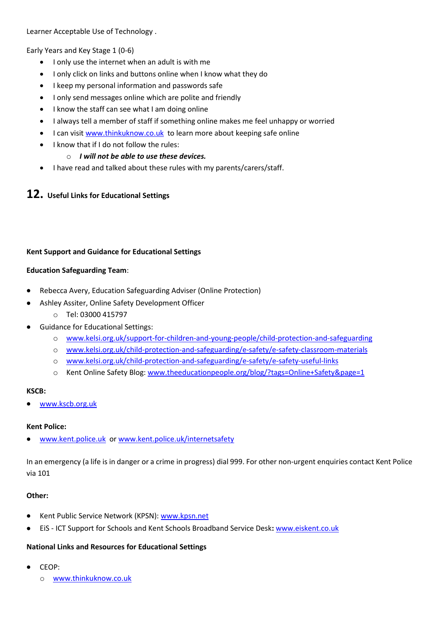Learner Acceptable Use of Technology .

Early Years and Key Stage 1 (0-6)

- I only use the internet when an adult is with me
- I only click on links and buttons online when I know what they do
- I keep my personal information and passwords safe
- I only send messages online which are polite and friendly
- I know the staff can see what I am doing online
- I always tell a member of staff if something online makes me feel unhappy or worried
- I can visit [www.thinkuknow.co.uk](http://www.thinkuknow.co.uk/) to learn more about keeping safe online
- I know that if I do not follow the rules:

#### o *I will not be able to use these devices.*

• I have read and talked about these rules with my parents/carers/staff.

# **12. Useful Links for Educational Settings**

#### **Kent Support and Guidance for Educational Settings**

#### **Education Safeguarding Team**:

- Rebecca Avery, Education Safeguarding Adviser (Online Protection)
- Ashley Assiter, Online Safety Development Officer
	- o Tel: 03000 415797
- Guidance for Educational Settings:
	- o [www.kelsi.org.uk/support-for-children-and-young-people/child-protection-and-safeguarding](http://www.kelsi.org.uk/support-for-children-and-young-people/child-protection-and-safeguarding)
	- o [www.kelsi.org.uk/child-protection-and-safeguarding/e-safety/e-safety-classroom-materials](http://www.kelsi.org.uk/child-protection-and-safeguarding/e-safety/e-safety-classroom-materials)
	- o [www.kelsi.org.uk/child-protection-and-safeguarding/e-safety/e-safety-useful-links](http://www.kelsi.org.uk/child-protection-and-safeguarding/e-safety/e-safety-useful-links)
	- o Kent Online Safety Blog: [www.theeducationpeople.org/blog/?tags=Online+Safety&page=1](http://www.theeducationpeople.org/blog/?tags=Online+Safety&page=1)

#### **KSCB:**

[www.kscb.org.uk](http://www.kscb.org.uk/)

#### **Kent Police:**

• [www.kent.police.uk](http://www.kent.police.uk/) o[r www.kent.police.uk/internetsafety](http://www.kent.police.uk/internetsafety)

In an emergency (a life is in danger or a crime in progress) dial 999. For other non-urgent enquiries contact Kent Police via 101

#### **Other:**

- Kent Public Service Network (KPSN): [www.kpsn.net](http://www.kpsn.net/)
- EiS ICT Support for Schools and Kent Schools Broadband Service Desk**:** [www.eiskent.co.uk](http://www.eiskent.co.uk/)

#### **National Links and Resources for Educational Settings**

- CEOP:
	- o [www.thinkuknow.co.uk](http://www.thinkuknow.co.uk/)